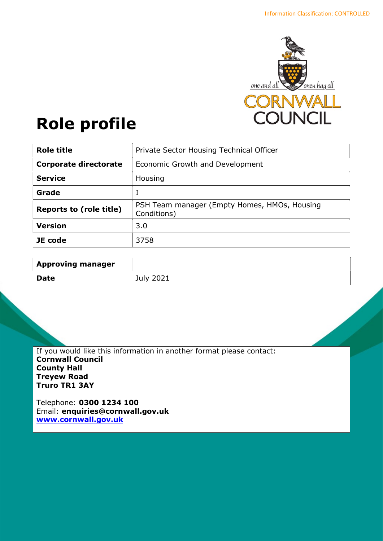

# Role profile

| <b>Role title</b>              | Private Sector Housing Technical Officer                    |
|--------------------------------|-------------------------------------------------------------|
| <b>Corporate directorate</b>   | Economic Growth and Development                             |
| <b>Service</b>                 | Housing                                                     |
| Grade                          |                                                             |
| <b>Reports to (role title)</b> | PSH Team manager (Empty Homes, HMOs, Housing<br>Conditions) |
| <b>Version</b>                 | 3.0                                                         |
| JE code                        | 3758                                                        |

| <b>Approving manager</b> |                  |
|--------------------------|------------------|
| <b>Date</b>              | <b>July 2021</b> |

If you would like this information in another format please contact: Cornwall Council County Hall Treyew Road Truro TR1 3AY

Telephone: 0300 1234 100 Email: enquiries@cornwall.gov.uk www.cornwall.gov.uk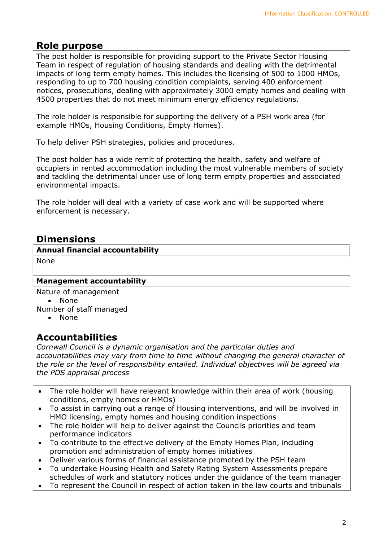# Role purpose

The post holder is responsible for providing support to the Private Sector Housing Team in respect of regulation of housing standards and dealing with the detrimental impacts of long term empty homes. This includes the licensing of 500 to 1000 HMOs, responding to up to 700 housing condition complaints, serving 400 enforcement notices, prosecutions, dealing with approximately 3000 empty homes and dealing with 4500 properties that do not meet minimum energy efficiency regulations.

The role holder is responsible for supporting the delivery of a PSH work area (for example HMOs, Housing Conditions, Empty Homes).

To help deliver PSH strategies, policies and procedures.

The post holder has a wide remit of protecting the health, safety and welfare of occupiers in rented accommodation including the most vulnerable members of society and tackling the detrimental under use of long term empty properties and associated environmental impacts.

The role holder will deal with a variety of case work and will be supported where enforcement is necessary.

# Dimensions

Annual financial accountability

None

### Management accountability

Nature of management

• None

Number of staff managed

• None

## Accountabilities

Cornwall Council is a dynamic organisation and the particular duties and accountabilities may vary from time to time without changing the general character of the role or the level of responsibility entailed. Individual objectives will be agreed via the PDS appraisal process

- The role holder will have relevant knowledge within their area of work (housing conditions, empty homes or HMOs)
- To assist in carrying out a range of Housing interventions, and will be involved in HMO licensing, empty homes and housing condition inspections
- The role holder will help to deliver against the Councils priorities and team performance indicators
- To contribute to the effective delivery of the Empty Homes Plan, including promotion and administration of empty homes initiatives
- Deliver various forms of financial assistance promoted by the PSH team
- To undertake Housing Health and Safety Rating System Assessments prepare schedules of work and statutory notices under the guidance of the team manager
- To represent the Council in respect of action taken in the law courts and tribunals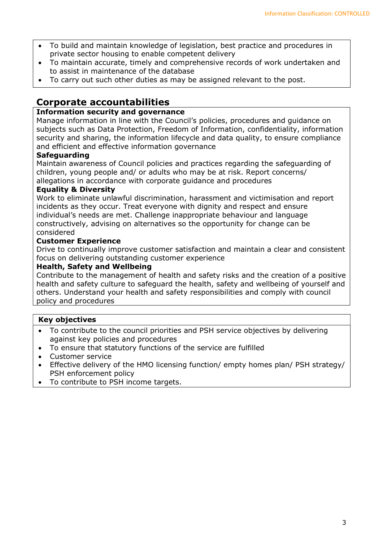- To build and maintain knowledge of legislation, best practice and procedures in private sector housing to enable competent delivery
- To maintain accurate, timely and comprehensive records of work undertaken and to assist in maintenance of the database
- To carry out such other duties as may be assigned relevant to the post.

# Corporate accountabilities

## Information security and governance

Manage information in line with the Council's policies, procedures and guidance on subjects such as Data Protection, Freedom of Information, confidentiality, information security and sharing, the information lifecycle and data quality, to ensure compliance and efficient and effective information governance

## **Safeguarding**

Maintain awareness of Council policies and practices regarding the safeguarding of children, young people and/ or adults who may be at risk. Report concerns/ allegations in accordance with corporate guidance and procedures

### Equality & Diversity

Work to eliminate unlawful discrimination, harassment and victimisation and report incidents as they occur. Treat everyone with dignity and respect and ensure individual's needs are met. Challenge inappropriate behaviour and language constructively, advising on alternatives so the opportunity for change can be considered

## Customer Experience

Drive to continually improve customer satisfaction and maintain a clear and consistent focus on delivering outstanding customer experience

### Health, Safety and Wellbeing

Contribute to the management of health and safety risks and the creation of a positive health and safety culture to safeguard the health, safety and wellbeing of yourself and others. Understand your health and safety responsibilities and comply with council policy and procedures

### Key objectives

- To contribute to the council priorities and PSH service objectives by delivering against key policies and procedures
- To ensure that statutory functions of the service are fulfilled
- Customer service
- Effective delivery of the HMO licensing function/ empty homes plan/ PSH strategy/ PSH enforcement policy
- To contribute to PSH income targets.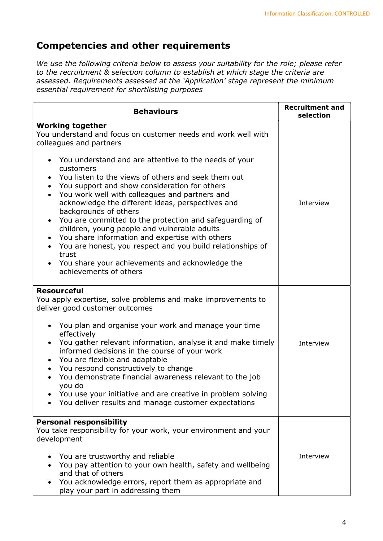# Competencies and other requirements

We use the following criteria below to assess your suitability for the role; please refer to the recruitment & selection column to establish at which stage the criteria are assessed. Requirements assessed at the 'Application' stage represent the minimum essential requirement for shortlisting purposes

| <b>Behaviours</b>                                                                                                                                                                                                                                                                                                                                                                                                                                                                                                                                                                                                                                      | <b>Recruitment and</b><br>selection |
|--------------------------------------------------------------------------------------------------------------------------------------------------------------------------------------------------------------------------------------------------------------------------------------------------------------------------------------------------------------------------------------------------------------------------------------------------------------------------------------------------------------------------------------------------------------------------------------------------------------------------------------------------------|-------------------------------------|
| <b>Working together</b><br>You understand and focus on customer needs and work well with<br>colleagues and partners                                                                                                                                                                                                                                                                                                                                                                                                                                                                                                                                    |                                     |
| You understand and are attentive to the needs of your<br>customers<br>You listen to the views of others and seek them out<br>$\bullet$<br>You support and show consideration for others<br>$\bullet$<br>You work well with colleagues and partners and<br>acknowledge the different ideas, perspectives and<br>backgrounds of others<br>You are committed to the protection and safeguarding of<br>children, young people and vulnerable adults<br>You share information and expertise with others<br>You are honest, you respect and you build relationships of<br>trust<br>You share your achievements and acknowledge the<br>achievements of others | Interview                           |
| <b>Resourceful</b><br>You apply expertise, solve problems and make improvements to<br>deliver good customer outcomes<br>You plan and organise your work and manage your time<br>effectively<br>You gather relevant information, analyse it and make timely<br>informed decisions in the course of your work<br>You are flexible and adaptable<br>You respond constructively to change<br>You demonstrate financial awareness relevant to the job<br>you do<br>You use your initiative and are creative in problem solving<br>You deliver results and manage customer expectations                                                                      | Interview                           |
| <b>Personal responsibility</b><br>You take responsibility for your work, your environment and your<br>development<br>You are trustworthy and reliable<br>You pay attention to your own health, safety and wellbeing<br>and that of others<br>You acknowledge errors, report them as appropriate and<br>play your part in addressing them                                                                                                                                                                                                                                                                                                               | Interview                           |